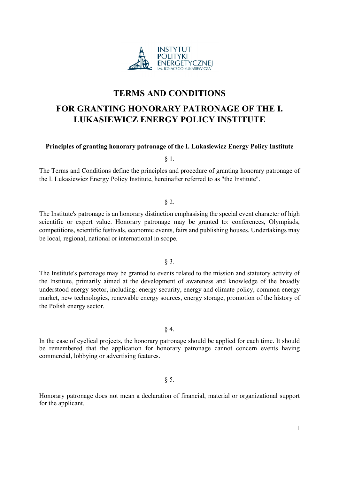

# TERMS AND CONDITIONS

# FOR GRANTING HONORARY PATRONAGE OF THE I. LUKASIEWICZ ENERGY POLICY INSTITUTE

#### Principles of granting honorary patronage of the I. Lukasiewicz Energy Policy Institute

§ 1.

The Terms and Conditions define the principles and procedure of granting honorary patronage of the I. Lukasiewicz Energy Policy Institute, hereinafter referred to as "the Institute".

## § 2.

The Institute's patronage is an honorary distinction emphasising the special event character of high scientific or expert value. Honorary patronage may be granted to: conferences, Olympiads, competitions, scientific festivals, economic events, fairs and publishing houses. Undertakings may be local, regional, national or international in scope.

# § 3.

The Institute's patronage may be granted to events related to the mission and statutory activity of the Institute, primarily aimed at the development of awareness and knowledge of the broadly understood energy sector, including: energy security, energy and climate policy, common energy market, new technologies, renewable energy sources, energy storage, promotion of the history of the Polish energy sector.

§ 4.

In the case of cyclical projects, the honorary patronage should be applied for each time. It should be remembered that the application for honorary patronage cannot concern events having commercial, lobbying or advertising features.

#### § 5.

Honorary patronage does not mean a declaration of financial, material or organizational support for the applicant.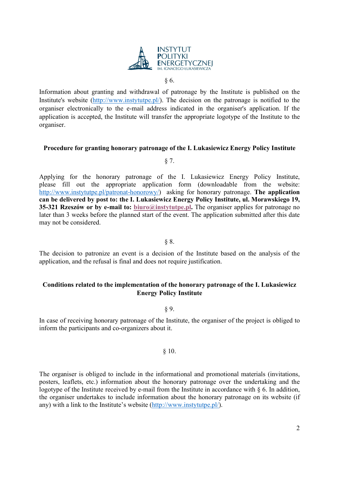

§ 6.

Information about granting and withdrawal of patronage by the Institute is published on the Institute's website (http://www.instytutpe.pl/). The decision on the patronage is notified to the organiser electronically to the e-mail address indicated in the organiser's application. If the application is accepted, the Institute will transfer the appropriate logotype of the Institute to the organiser.

#### Procedure for granting honorary patronage of the I. Lukasiewicz Energy Policy Institute

§ 7.

Applying for the honorary patronage of the I. Lukasiewicz Energy Policy Institute, please fill out the appropriate application form (downloadable from the website: http://www.instytutpe.pl/patronat-honorowy/) asking for honorary patronage. The application can be delivered by post to: the I. Lukasiewicz Energy Policy Institute, ul. Morawskiego 19, 35-321 Rzeszów or by e-mail to: biuro@instytutpe.pl. The organiser applies for patronage no later than 3 weeks before the planned start of the event. The application submitted after this date may not be considered.

§ 8.

The decision to patronize an event is a decision of the Institute based on the analysis of the application, and the refusal is final and does not require justification.

# Conditions related to the implementation of the honorary patronage of the I. Lukasiewicz Energy Policy Institute

§ 9.

In case of receiving honorary patronage of the Institute, the organiser of the project is obliged to inform the participants and co-organizers about it.

# § 10.

The organiser is obliged to include in the informational and promotional materials (invitations, posters, leaflets, etc.) information about the honorary patronage over the undertaking and the logotype of the Institute received by e-mail from the Institute in accordance with § 6. In addition, the organiser undertakes to include information about the honorary patronage on its website (if any) with a link to the Institute's website (http://www.instytutpe.pl/).